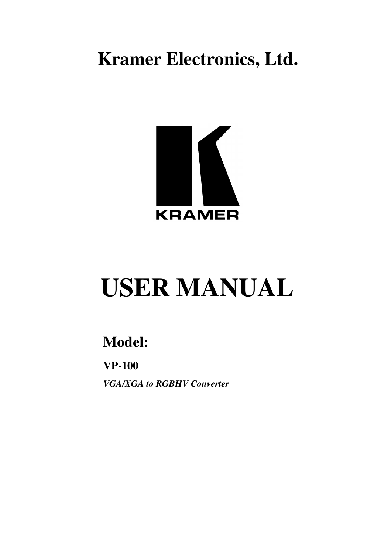**Kramer Electronics, Ltd.**



# **USER MANUAL**

## **Model:**

**VP-100**

*VGA/XGA to RGBHV Converter*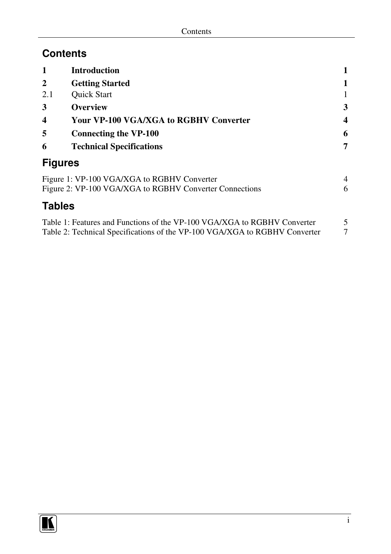## **Contents**

| 1                                                | <b>Introduction</b>                                     |                  |
|--------------------------------------------------|---------------------------------------------------------|------------------|
| $\mathbf{2}$                                     | <b>Getting Started</b>                                  | 1                |
| 2.1                                              | <b>Ouick Start</b>                                      |                  |
| 3                                                | <b>Overview</b>                                         | 3                |
| $\boldsymbol{4}$                                 | <b>Your VP-100 VGA/XGA to RGBHV Converter</b>           | $\boldsymbol{4}$ |
| 5                                                | <b>Connecting the VP-100</b>                            | 6                |
| 6                                                | <b>Technical Specifications</b>                         | 7                |
| <b>Figures</b>                                   |                                                         |                  |
| Figure 1: VP-100 VGA/XGA to RGBHV Converter<br>4 |                                                         |                  |
|                                                  | Figure 2: VP-100 VGA/XGA to RGBHV Converter Connections | 6                |
| <b>Tables</b>                                    |                                                         |                  |

| Table 1: Features and Functions of the VP-100 VGA/XGA to RGBHV Converter   |  |
|----------------------------------------------------------------------------|--|
| Table 2: Technical Specifications of the VP-100 VGA/XGA to RGBHV Converter |  |

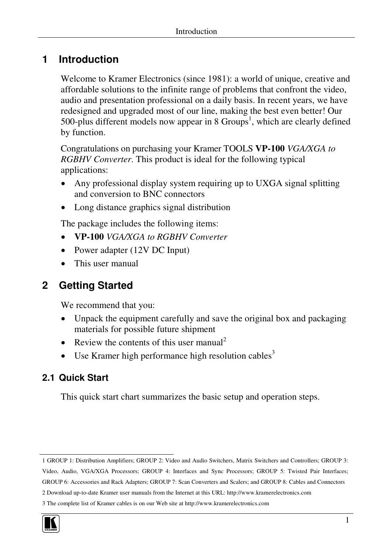## **1 Introduction**

Welcome to Kramer Electronics (since 1981): a world of unique, creative and affordable solutions to the infinite range of problems that confront the video, audio and presentation professional on a daily basis. In recent years, we have redesigned and upgraded most of our line, making the best even better! Our 500-plus different models now appear in 8  $Groups<sup>1</sup>$ , which are clearly defined by function.

Congratulations on purchasing your Kramer TOOLS **VP-100** *VGA/XGA to RGBHV Converter*. This product is ideal for the following typical applications:

- Any professional display system requiring up to UXGA signal splitting and conversion to BNC connectors
- Long distance graphics signal distribution

The package includes the following items:

- **VP-100** *VGA/XGA to RGBHV Converter*
- Power adapter (12V DC Input)
- This user manual

## **2 Getting Started**

We recommend that you:

- Unpack the equipment carefully and save the original box and packaging materials for possible future shipment
- Review the contents of this user manual<sup>2</sup>
- $\bullet$  Use Kramer high performance high resolution cables<sup>3</sup>

## **2.1 Quick Start**

This quick start chart summarizes the basic setup and operation steps.

<sup>3</sup> The complete list of Kramer cables is on our Web site at http://www.kramerelectronics.com



<sup>1</sup> GROUP 1: Distribution Amplifiers; GROUP 2: Video and Audio Switchers, Matrix Switchers and Controllers; GROUP 3:

Video, Audio, VGA/XGA Processors; GROUP 4: Interfaces and Sync Processors; GROUP 5: Twisted Pair Interfaces;

GROUP 6: Accessories and Rack Adapters; GROUP 7: Scan Converters and Scalers; and GROUP 8: Cables and Connectors

<sup>2</sup> Download up-to-date Kramer user manuals from the Internet at this URL: http://www.kramerelectronics.com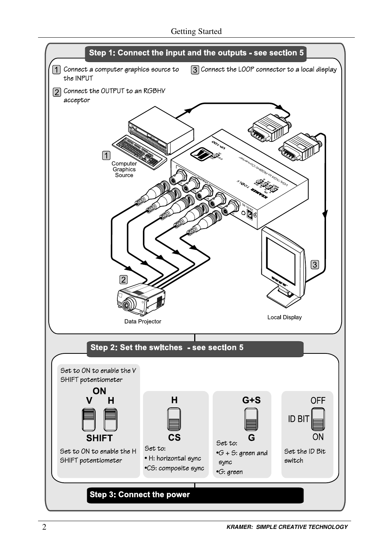Getting Started

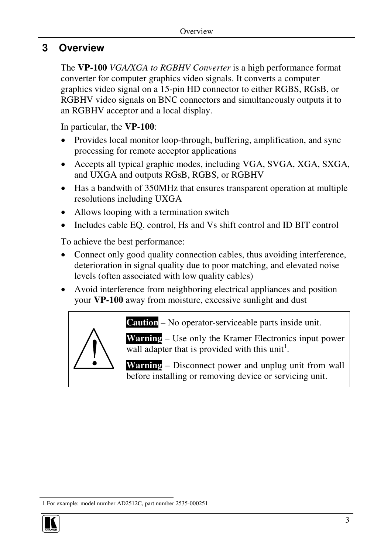### **3 Overview**

The **VP-100** *VGA/XGA to RGBHV Converter* is a high performance format converter for computer graphics video signals. It converts a computer graphics video signal on a 15-pin HD connector to either RGBS, RGsB, or RGBHV video signals on BNC connectors and simultaneously outputs it to an RGBHV acceptor and a local display.

In particular, the **VP-100**:

- Provides local monitor loop-through, buffering, amplification, and sync processing for remote acceptor applications
- Accepts all typical graphic modes, including VGA, SVGA, XGA, SXGA, and UXGA and outputs RGsB, RGBS, or RGBHV
- Has a bandwith of 350MHz that ensures transparent operation at multiple resolutions including UXGA
- Allows looping with a termination switch
- Includes cable EQ. control, Hs and Vs shift control and ID BIT control

To achieve the best performance:

- Connect only good quality connection cables, thus avoiding interference, deterioration in signal quality due to poor matching, and elevated noise levels (often associated with low quality cables)
- Avoid interference from neighboring electrical appliances and position your **VP-100** away from moisture, excessive sunlight and dust



**Warning** – Use only the Kramer Electronics input power wall adapter that is provided with this unit<sup>1</sup>.

**Warning** – Disconnect power and unplug unit from wall before installing or removing device or servicing unit.

<sup>1</sup> For example: model number AD2512C, part number 2535-000251

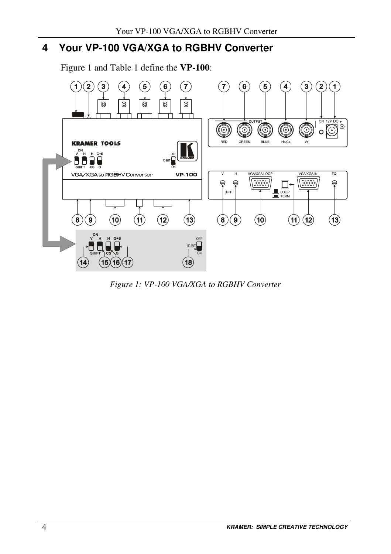## **4 Your VP-100 VGA/XGA to RGBHV Converter**

Figure 1 and Table 1 define the **VP-100**:



*Figure 1: VP-100 VGA/XGA to RGBHV Converter*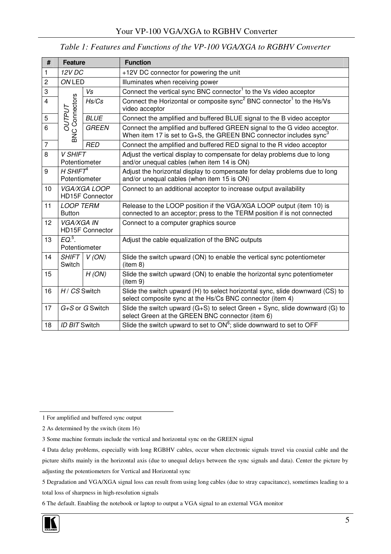| #              | Feature                                       |              | <b>Function</b>                                                                                                                                               |
|----------------|-----------------------------------------------|--------------|---------------------------------------------------------------------------------------------------------------------------------------------------------------|
| $\mathbf{1}$   | 12V DC                                        |              | +12V DC connector for powering the unit                                                                                                                       |
| $\overline{2}$ | ON LED                                        |              | Illuminates when receiving power                                                                                                                              |
| 3              |                                               | Vs           | Connect the vertical sync BNC connector <sup>1</sup> to the Vs video acceptor                                                                                 |
| $\overline{4}$ | C Connectors                                  | Hs/Cs        | Connect the Horizontal or composite sync <sup>2</sup> BNC connector <sup>1</sup> to the Hs/Vs<br>video acceptor                                               |
| 5              | <b>OUTPUT</b>                                 | <b>BLUE</b>  | Connect the amplified and buffered BLUE signal to the B video acceptor                                                                                        |
| 6              | š                                             | <b>GREEN</b> | Connect the amplified and buffered GREEN signal to the G video acceptor.<br>When item 17 is set to $G+S$ , the GREEN BNC connector includes sync <sup>3</sup> |
| $\overline{7}$ |                                               | <b>RED</b>   | Connect the amplified and buffered RED signal to the R video acceptor                                                                                         |
| 8              | <b>V SHIFT</b><br>Potentiometer               |              | Adjust the vertical display to compensate for delay problems due to long<br>and/or unequal cables (when item 14 is ON)                                        |
| 9              | H SHIFT $4$<br>Potentiometer                  |              | Adjust the horizontal display to compensate for delay problems due to long<br>and/or unequal cables (when item 15 is ON)                                      |
| 10             | <b>VGA/XGA LOOP</b><br><b>HD15F Connector</b> |              | Connect to an additional acceptor to increase output availability                                                                                             |
| 11             | <b>LOOP TERM</b><br><b>Button</b>             |              | Release to the LOOP position if the VGA/XGA LOOP output (item 10) is<br>connected to an acceptor; press to the TERM position if is not connected              |
| 12             | <b>VGA/XGA IN</b><br><b>HD15F Connector</b>   |              | Connect to a computer graphics source                                                                                                                         |
| 13             | $EO5$ .<br>Potentiometer                      |              | Adjust the cable equalization of the BNC outputs                                                                                                              |
| 14             | <b>SHIFT</b><br>Switch                        | $V$ (ON)     | Slide the switch upward (ON) to enable the vertical sync potentiometer<br>(item 8)                                                                            |
| 15             |                                               | H (ON)       | Slide the switch upward (ON) to enable the horizontal sync potentiometer<br>(item 9)                                                                          |
| 16             | H / CS Switch                                 |              | Slide the switch upward (H) to select horizontal sync, slide downward (CS) to<br>select composite sync at the Hs/Cs BNC connector (item 4)                    |
| 17             | $G+S$ or $G$ Switch                           |              | Slide the switch upward $(G+S)$ to select Green $+$ Sync, slide downward (G) to<br>select Green at the GREEN BNC connector (item 6)                           |
| 18             | ID BIT Switch                                 |              | Slide the switch upward to set to $ON6$ ; slide downward to set to OFF                                                                                        |

*Table 1: Features and Functions of the VP-100 VGA/XGA to RGBHV Converter*

1 For amplified and buffered sync output

<sup>6</sup> The default. Enabling the notebook or laptop to output a VGA signal to an external VGA monitor



<sup>2</sup> As determined by the switch (item 16)

<sup>3</sup> Some machine formats include the vertical and horizontal sync on the GREEN signal

<sup>4</sup> Data delay problems, especially with long RGBHV cables, occur when electronic signals travel via coaxial cable and the picture shifts mainly in the horizontal axis (due to unequal delays between the sync signals and data). Center the picture by adjusting the potentiometers for Vertical and Horizontal sync

<sup>5</sup> Degradation and VGA/XGA signal loss can result from using long cables (due to stray capacitance), sometimes leading to a total loss of sharpness in high-resolution signals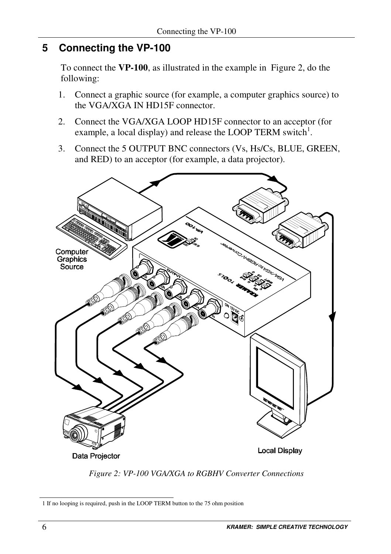## **5 Connecting the VP-100**

To connect the **VP-100**, as illustrated in the example in Figure 2, do the following:

- 1. Connect a graphic source (for example, a computer graphics source) to the VGA/XGA IN HD15F connector.
- 2. Connect the VGA/XGA LOOP HD15F connector to an acceptor (for example, a local display) and release the LOOP TERM switch<sup>1</sup>.
- 3. Connect the 5 OUTPUT BNC connectors (Vs, Hs/Cs, BLUE, GREEN, and RED) to an acceptor (for example, a data projector).



*Figure 2: VP-100 VGA/XGA to RGBHV Converter Connections*

<sup>1</sup> If no looping is required, push in the LOOP TERM button to the 75 ohm position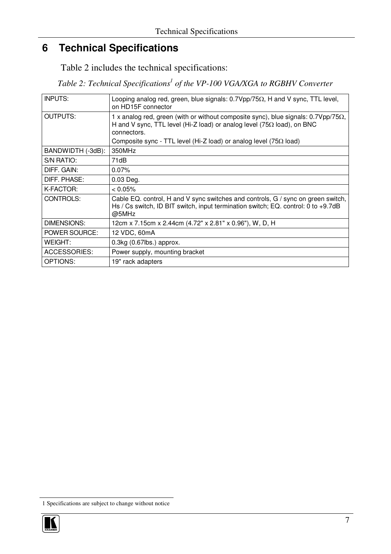## **6 Technical Specifications**

Table 2 includes the technical specifications:

*Table 2: Technical Specifications 1 of the VP-100 VGA/XGA to RGBHV Converter*

| <b>INPUTS:</b>    | Looping analog red, green, blue signals: $0.7Vpp/75\Omega$ , H and V sync, TTL level,<br>on HD15F connector                                                                                |
|-------------------|--------------------------------------------------------------------------------------------------------------------------------------------------------------------------------------------|
| <b>OUTPUTS:</b>   | 1 x analog red, green (with or without composite sync), blue signals: $0.7Vpp/75\Omega$ ,<br>H and V sync, TTL level (Hi-Z load) or analog level (75 $\Omega$ load), on BNC<br>connectors. |
|                   | Composite sync - TTL level (Hi-Z load) or analog level (75 $\Omega$ load)                                                                                                                  |
| BANDWIDTH (-3dB): | 350MHz                                                                                                                                                                                     |
| S/N RATIO:        | 71dB                                                                                                                                                                                       |
| DIFF. GAIN:       | 0.07%                                                                                                                                                                                      |
| DIFF. PHASE:      | $0.03$ Deg.                                                                                                                                                                                |
| K-FACTOR:         | $< 0.05\%$                                                                                                                                                                                 |
| CONTROLS:         | Cable EQ. control, H and V sync switches and controls, G / sync on green switch,<br>Hs / Cs switch, ID BIT switch, input termination switch; EQ. control: 0 to +9.7dB<br>@5MHz             |
| DIMENSIONS:       | 12cm x 7.15cm x 2.44cm (4.72" x 2.81" x 0.96"), W, D, H                                                                                                                                    |
| POWER SOURCE:     | 12 VDC, 60mA                                                                                                                                                                               |
| <b>WEIGHT:</b>    | $0.3kg$ (0.67 $lbs$ ) approx.                                                                                                                                                              |
| ACCESSORIES:      | Power supply, mounting bracket                                                                                                                                                             |
| OPTIONS:          | 19" rack adapters                                                                                                                                                                          |

<sup>1</sup> Specifications are subject to change without notice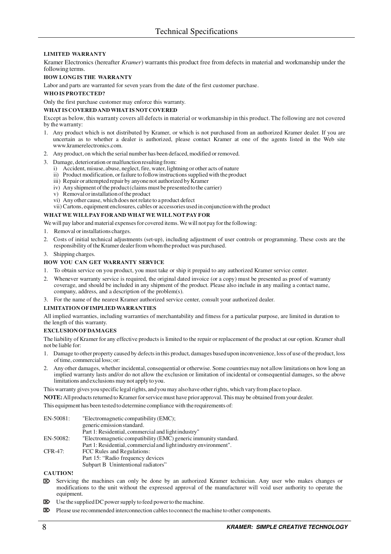#### **LIMITED WARRANTY**

Kramer Electronics (hereafter *Kramer*) warrants this product free from defects in material and workmanship under the following terms.

#### **HOW LONGIS THE WARRANTY**

Labor and parts are warranted for seven years from the date of the first customer purchase.

#### **WHOIS PROTECTED?**

Only the first purchase customer may enforce this warranty.

#### **WHATISCOVEREDANDWHATISNOT COVERED**

Except as below, this warranty covers all defects in material or workmanship in this product. The following are not covered by thewarranty:

- 1. Any product which is not distributed by Kramer, or which is not purchased from an authorized Kramer dealer. If you are uncertain as to whether a dealer is authorized, please contact Kramer at one of the agents listed in the Web site www.kramerelectronics.com.
- 2. Any product, on which the serial number has been defaced, modified or removed.
- 3. Damage, deterioration or malfunction resulting from:
	- i) Accident, misuse, abuse, neglect, fire, water, lightning or other acts of nature
	- ii) Product modification, or failure to follow instructions supplied with the product
	- iii) Repair or attempted repair by anyone not authorized by Kramer
	- iv) Any shipment of the product (claims must be presented to the carrier)
	- v) Removalorinstallationofthe product
	- vi) Anyother cause, whichdoes notrelate to a product defect
	- vii) Cartons, equipment enclosures, cables or accessories used in conjunctionwiththe product

#### **WHATWE WILLPAYFORAND WHATWE WILLNOTPAY FOR**

We will pay labor and material expenses for covered items. We will not pay for the following:

- 1. Removal orinstallations charges.
- 2. Costs of initial technical adjustments (set-up), including adjustment of user controls or programming. These costs are the responsibility of the Kramer dealer from whom the product was purchased.

#### 3. Shipping charges.

#### **HOW YOU CAN GET WARRANTY SERVICE**

- 1. To obtain service on you product, you must take or ship it prepaid to any authorized Kramer service center.
- 2. Whenever warranty service is required, the original dated invoice (or a copy) must be presented as proof of warranty coverage, and should be included in any shipment of the product. Please also include in any mailing a contact name, company, address, and a description of the problem(s).

3. For the name of the nearest Kramer authorized service center, consult your authorized dealer.

#### **LIMITATION OFIMPLIED WARRANTIES**

All implied warranties, including warranties of merchantability and fitness for a particular purpose, are limited in duration to the length of this warranty.

#### **EXCLUSIONOFDAMAGES**

The liability of Kramer for any effective productsis limited to the repair or replacement of the product at our option. Kramer shall not be liable for:

- 1. Damage to other property caused by defectsinthis product, damages basedupon inconvenience, loss of use of the product, loss of time, commercial loss; or:
- 2. Any other damages, whether incidental, consequential or otherwise. Some countriesmay not allow limitations on how long an implied warranty lasts and/or do not allow the exclusion or limitation of incidental or consequential damages, so the above limitations andexclusions may not apply to you.

This warranty gives you specific legal rights, and you may also have other rights, which vary from place to place.

NOTE: All products returned to Kramer for service must have prior approval. This may be obtained from your dealer.

This equipment has been tested to determine compliance with the requirements of:

| EN-50081: | "Electromagnetic compatibility (EMC);                            |
|-----------|------------------------------------------------------------------|
|           | generic emission standard.                                       |
|           | Part 1: Residential, commercial and light industry"              |
| EN-50082: | "Electromagnetic compatibility (EMC) generic immunity standard.  |
|           | Part 1: Residential, commercial and light industry environment". |
| CFR-47:   | FCC Rules and Regulations:                                       |
|           | Part 15: "Radio frequency devices                                |
|           | Subpart B Unintentional radiators"                               |

**CAUTION!**

- Servicing the machines can only be done by an authorized Kramer technician. Any user who makes changes or modifications to the unit without the expressed approval of the manufacturer will void user authority to operate the equipment.
- $\boxtimes$  Use the supplied DC power supply to feed power to the machine.
- **EX** Please use recommended interconnection cables to connect the machine to other components.